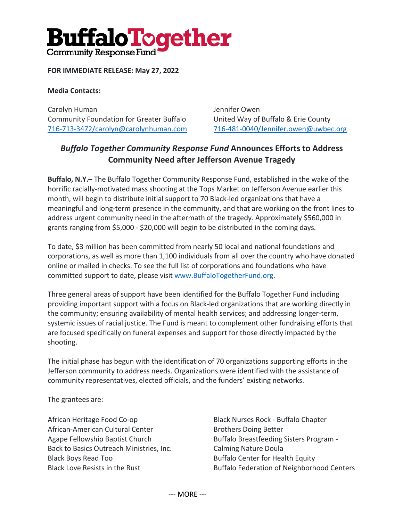# **BuffaloTogether** Community Response Fund'

### **FOR IMMEDIATE RELEASE: May 27, 2022**

#### **Media Contacts:**

Carolyn Human Jennifer Owen Community Foundation for Greater Buffalo United Way of Buffalo & Erie County 716-713-3472/carolyn@carolynhuman.com 716-481-0040/Jennifer.owen@uwbec.org

## *Buffalo Together Community Response Fund* **Announces Efforts to Address Community Need after Jefferson Avenue Tragedy**

**Buffalo, N.Y.–** The Buffalo Together Community Response Fund, established in the wake of the horrific racially-motivated mass shooting at the Tops Market on Jefferson Avenue earlier this month, will begin to distribute initial support to 70 Black-led organizations that have a meaningful and long-term presence in the community, and that are working on the front lines to address urgent community need in the aftermath of the tragedy. Approximately \$560,000 in grants ranging from \$5,000 - \$20,000 will begin to be distributed in the coming days.

To date, \$3 million has been committed from nearly 50 local and national foundations and corporations, as well as more than 1,100 individuals from all over the country who have donated online or mailed in checks. To see the full list of corporations and foundations who have committed support to date, please visit www.BuffaloTogetherFund.org.

Three general areas of support have been identified for the Buffalo Together Fund including providing important support with a focus on Black-led organizations that are working directly in the community; ensuring availability of mental health services; and addressing longer-term, systemic issues of racial justice. The Fund is meant to complement other fundraising efforts that are focused specifically on funeral expenses and support for those directly impacted by the shooting.

The initial phase has begun with the identification of 70 organizations supporting efforts in the Jefferson community to address needs. Organizations were identified with the assistance of community representatives, elected officials, and the funders' existing networks.

The grantees are:

African Heritage Food Co-op African-American Cultural Center Agape Fellowship Baptist Church Back to Basics Outreach Ministries, Inc. Black Boys Read Too Black Love Resists in the Rust

Black Nurses Rock - Buffalo Chapter Brothers Doing Better Buffalo Breastfeeding Sisters Program - Calming Nature Doula Buffalo Center for Health Equity Buffalo Federation of Neighborhood Centers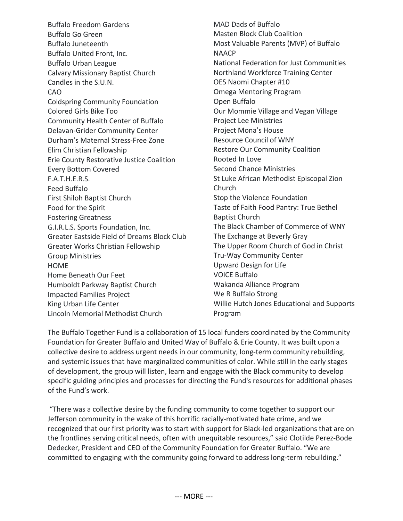Buffalo Freedom Gardens Buffalo Go Green Buffalo Juneteenth Buffalo United Front, Inc. Buffalo Urban League Calvary Missionary Baptist Church Candles in the S.U.N. CAO Coldspring Community Foundation Colored Girls Bike Too Community Health Center of Buffalo Delavan-Grider Community Center Durham's Maternal Stress-Free Zone Elim Christian Fellowship Erie County Restorative Justice Coalition Every Bottom Covered F.A.T.H.E.R.S. Feed Buffalo First Shiloh Baptist Church Food for the Spirit Fostering Greatness G.I.R.L.S. Sports Foundation, Inc. Greater Eastside Field of Dreams Block Club Greater Works Christian Fellowship Group Ministries HOME Home Beneath Our Feet Humboldt Parkway Baptist Church Impacted Families Project King Urban Life Center Lincoln Memorial Methodist Church

MAD Dads of Buffalo Masten Block Club Coalition Most Valuable Parents (MVP) of Buffalo **NAACP** National Federation for Just Communities Northland Workforce Training Center OES Naomi Chapter #10 Omega Mentoring Program Open Buffalo Our Mommie Village and Vegan Village Project Lee Ministries Project Mona's House Resource Council of WNY Restore Our Community Coalition Rooted In Love Second Chance Ministries St Luke African Methodist Episcopal Zion Church Stop the Violence Foundation Taste of Faith Food Pantry: True Bethel Baptist Church The Black Chamber of Commerce of WNY The Exchange at Beverly Gray The Upper Room Church of God in Christ Tru-Way Community Center Upward Design for Life VOICE Buffalo Wakanda Alliance Program We R Buffalo Strong Willie Hutch Jones Educational and Supports Program

The Buffalo Together Fund is a collaboration of 15 local funders coordinated by the Community Foundation for Greater Buffalo and United Way of Buffalo & Erie County. It was built upon a collective desire to address urgent needs in our community, long-term community rebuilding, and systemic issues that have marginalized communities of color. While still in the early stages of development, the group will listen, learn and engage with the Black community to develop specific guiding principles and processes for directing the Fund's resources for additional phases of the Fund's work.

"There was a collective desire by the funding community to come together to support our Jefferson community in the wake of this horrific racially-motivated hate crime, and we recognized that our first priority was to start with support for Black-led organizations that are on the frontlines serving critical needs, often with unequitable resources," said Clotilde Perez-Bode Dedecker, President and CEO of the Community Foundation for Greater Buffalo. "We are committed to engaging with the community going forward to address long-term rebuilding."